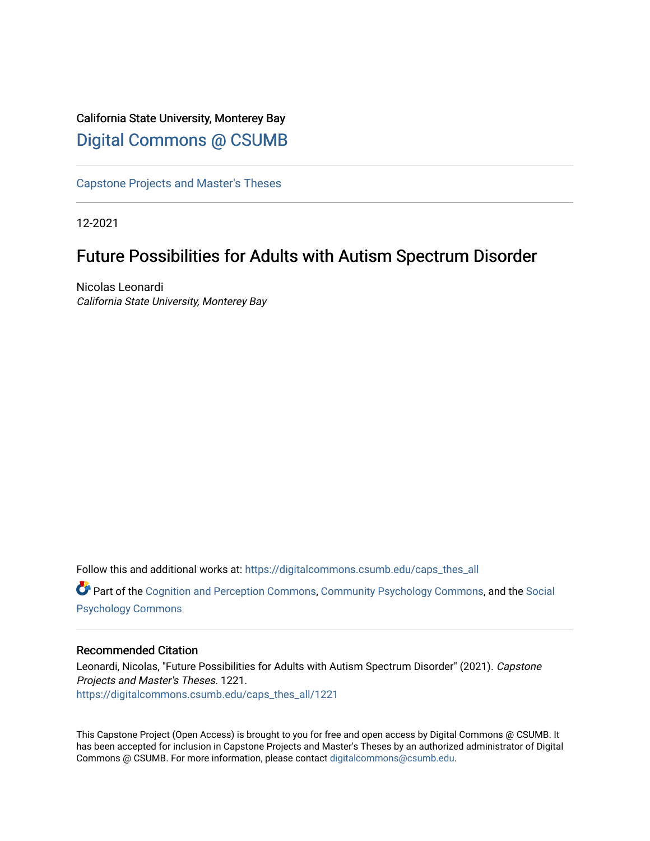# California State University, Monterey Bay [Digital Commons @ CSUMB](https://digitalcommons.csumb.edu/)

[Capstone Projects and Master's Theses](https://digitalcommons.csumb.edu/caps_thes_all)

12-2021

# Future Possibilities for Adults with Autism Spectrum Disorder

Nicolas Leonardi California State University, Monterey Bay

Follow this and additional works at: [https://digitalcommons.csumb.edu/caps\\_thes\\_all](https://digitalcommons.csumb.edu/caps_thes_all?utm_source=digitalcommons.csumb.edu%2Fcaps_thes_all%2F1221&utm_medium=PDF&utm_campaign=PDFCoverPages)

Part of the [Cognition and Perception Commons,](http://network.bepress.com/hgg/discipline/407?utm_source=digitalcommons.csumb.edu%2Fcaps_thes_all%2F1221&utm_medium=PDF&utm_campaign=PDFCoverPages) [Community Psychology Commons,](http://network.bepress.com/hgg/discipline/409?utm_source=digitalcommons.csumb.edu%2Fcaps_thes_all%2F1221&utm_medium=PDF&utm_campaign=PDFCoverPages) and the [Social](http://network.bepress.com/hgg/discipline/414?utm_source=digitalcommons.csumb.edu%2Fcaps_thes_all%2F1221&utm_medium=PDF&utm_campaign=PDFCoverPages)  [Psychology Commons](http://network.bepress.com/hgg/discipline/414?utm_source=digitalcommons.csumb.edu%2Fcaps_thes_all%2F1221&utm_medium=PDF&utm_campaign=PDFCoverPages) 

## Recommended Citation

Leonardi, Nicolas, "Future Possibilities for Adults with Autism Spectrum Disorder" (2021). Capstone Projects and Master's Theses. 1221. [https://digitalcommons.csumb.edu/caps\\_thes\\_all/1221](https://digitalcommons.csumb.edu/caps_thes_all/1221?utm_source=digitalcommons.csumb.edu%2Fcaps_thes_all%2F1221&utm_medium=PDF&utm_campaign=PDFCoverPages) 

This Capstone Project (Open Access) is brought to you for free and open access by Digital Commons @ CSUMB. It has been accepted for inclusion in Capstone Projects and Master's Theses by an authorized administrator of Digital Commons @ CSUMB. For more information, please contact [digitalcommons@csumb.edu](mailto:digitalcommons@csumb.edu).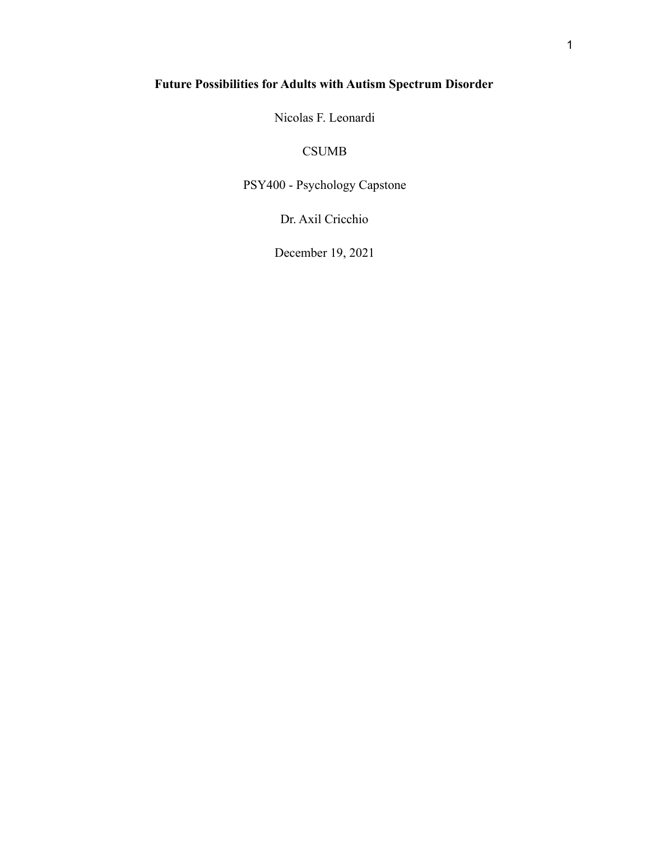## **Future Possibilities for Adults with Autism Spectrum Disorder**

Nicolas F. Leonardi

## CSUMB

PSY400 - Psychology Capstone

Dr. Axil Cricchio

December 19, 2021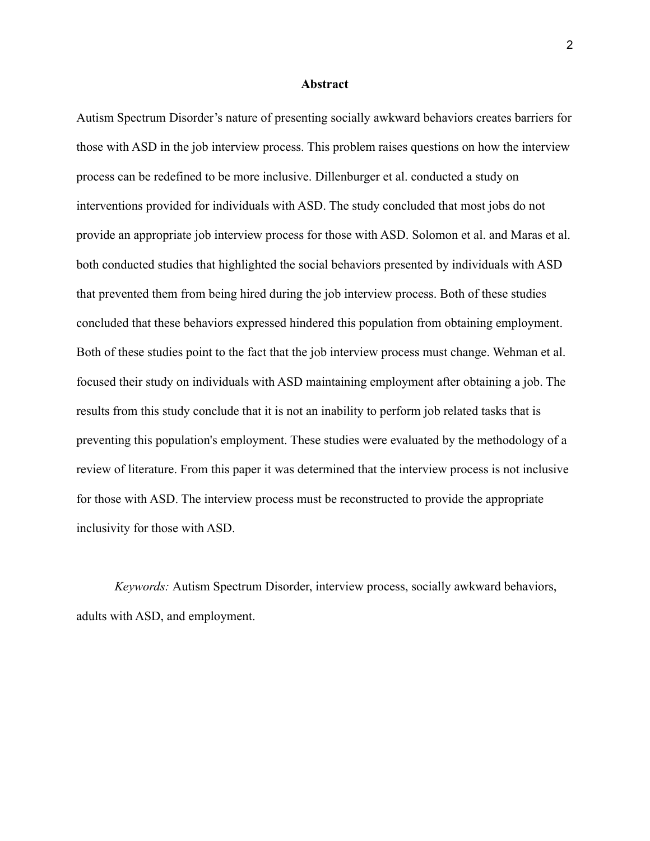#### **Abstract**

Autism Spectrum Disorder's nature of presenting socially awkward behaviors creates barriers for those with ASD in the job interview process. This problem raises questions on how the interview process can be redefined to be more inclusive. Dillenburger et al. conducted a study on interventions provided for individuals with ASD. The study concluded that most jobs do not provide an appropriate job interview process for those with ASD. Solomon et al. and Maras et al. both conducted studies that highlighted the social behaviors presented by individuals with ASD that prevented them from being hired during the job interview process. Both of these studies concluded that these behaviors expressed hindered this population from obtaining employment. Both of these studies point to the fact that the job interview process must change. Wehman et al. focused their study on individuals with ASD maintaining employment after obtaining a job. The results from this study conclude that it is not an inability to perform job related tasks that is preventing this population's employment. These studies were evaluated by the methodology of a review of literature. From this paper it was determined that the interview process is not inclusive for those with ASD. The interview process must be reconstructed to provide the appropriate inclusivity for those with ASD.

*Keywords:* Autism Spectrum Disorder, interview process, socially awkward behaviors, adults with ASD, and employment.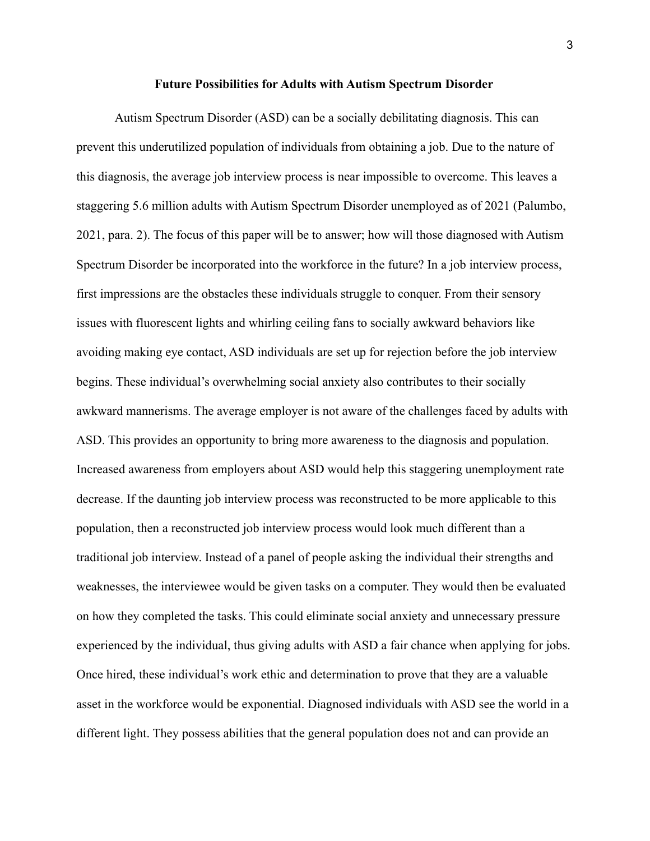#### **Future Possibilities for Adults with Autism Spectrum Disorder**

Autism Spectrum Disorder (ASD) can be a socially debilitating diagnosis. This can prevent this underutilized population of individuals from obtaining a job. Due to the nature of this diagnosis, the average job interview process is near impossible to overcome. This leaves a staggering 5.6 million adults with Autism Spectrum Disorder unemployed as of 2021 (Palumbo, 2021, para. 2). The focus of this paper will be to answer; how will those diagnosed with Autism Spectrum Disorder be incorporated into the workforce in the future? In a job interview process, first impressions are the obstacles these individuals struggle to conquer. From their sensory issues with fluorescent lights and whirling ceiling fans to socially awkward behaviors like avoiding making eye contact, ASD individuals are set up for rejection before the job interview begins. These individual's overwhelming social anxiety also contributes to their socially awkward mannerisms. The average employer is not aware of the challenges faced by adults with ASD. This provides an opportunity to bring more awareness to the diagnosis and population. Increased awareness from employers about ASD would help this staggering unemployment rate decrease. If the daunting job interview process was reconstructed to be more applicable to this population, then a reconstructed job interview process would look much different than a traditional job interview. Instead of a panel of people asking the individual their strengths and weaknesses, the interviewee would be given tasks on a computer. They would then be evaluated on how they completed the tasks. This could eliminate social anxiety and unnecessary pressure experienced by the individual, thus giving adults with ASD a fair chance when applying for jobs. Once hired, these individual's work ethic and determination to prove that they are a valuable asset in the workforce would be exponential. Diagnosed individuals with ASD see the world in a different light. They possess abilities that the general population does not and can provide an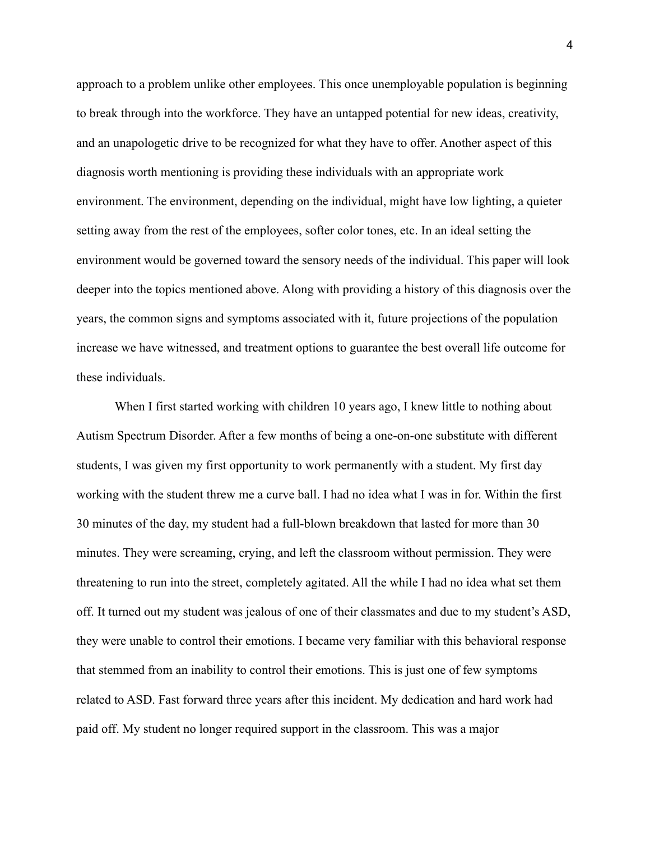approach to a problem unlike other employees. This once unemployable population is beginning to break through into the workforce. They have an untapped potential for new ideas, creativity, and an unapologetic drive to be recognized for what they have to offer. Another aspect of this diagnosis worth mentioning is providing these individuals with an appropriate work environment. The environment, depending on the individual, might have low lighting, a quieter setting away from the rest of the employees, softer color tones, etc. In an ideal setting the environment would be governed toward the sensory needs of the individual. This paper will look deeper into the topics mentioned above. Along with providing a history of this diagnosis over the years, the common signs and symptoms associated with it, future projections of the population increase we have witnessed, and treatment options to guarantee the best overall life outcome for these individuals.

When I first started working with children 10 years ago, I knew little to nothing about Autism Spectrum Disorder. After a few months of being a one-on-one substitute with different students, I was given my first opportunity to work permanently with a student. My first day working with the student threw me a curve ball. I had no idea what I was in for. Within the first 30 minutes of the day, my student had a full-blown breakdown that lasted for more than 30 minutes. They were screaming, crying, and left the classroom without permission. They were threatening to run into the street, completely agitated. All the while I had no idea what set them off. It turned out my student was jealous of one of their classmates and due to my student's ASD, they were unable to control their emotions. I became very familiar with this behavioral response that stemmed from an inability to control their emotions. This is just one of few symptoms related to ASD. Fast forward three years after this incident. My dedication and hard work had paid off. My student no longer required support in the classroom. This was a major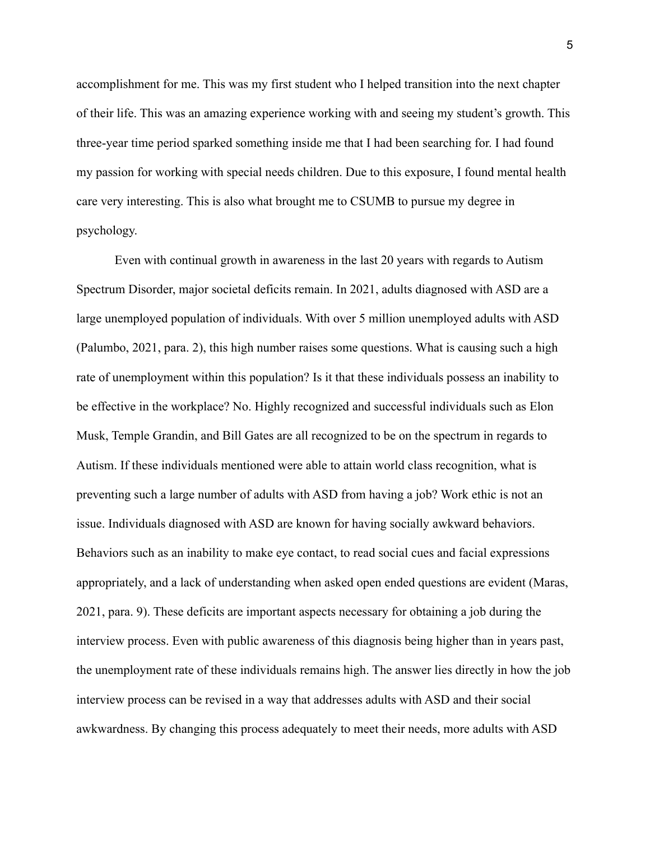accomplishment for me. This was my first student who I helped transition into the next chapter of their life. This was an amazing experience working with and seeing my student's growth. This three-year time period sparked something inside me that I had been searching for. I had found my passion for working with special needs children. Due to this exposure, I found mental health care very interesting. This is also what brought me to CSUMB to pursue my degree in psychology.

Even with continual growth in awareness in the last 20 years with regards to Autism Spectrum Disorder, major societal deficits remain. In 2021, adults diagnosed with ASD are a large unemployed population of individuals. With over 5 million unemployed adults with ASD (Palumbo, 2021, para. 2), this high number raises some questions. What is causing such a high rate of unemployment within this population? Is it that these individuals possess an inability to be effective in the workplace? No. Highly recognized and successful individuals such as Elon Musk, Temple Grandin, and Bill Gates are all recognized to be on the spectrum in regards to Autism. If these individuals mentioned were able to attain world class recognition, what is preventing such a large number of adults with ASD from having a job? Work ethic is not an issue. Individuals diagnosed with ASD are known for having socially awkward behaviors. Behaviors such as an inability to make eye contact, to read social cues and facial expressions appropriately, and a lack of understanding when asked open ended questions are evident (Maras, 2021, para. 9). These deficits are important aspects necessary for obtaining a job during the interview process. Even with public awareness of this diagnosis being higher than in years past, the unemployment rate of these individuals remains high. The answer lies directly in how the job interview process can be revised in a way that addresses adults with ASD and their social awkwardness. By changing this process adequately to meet their needs, more adults with ASD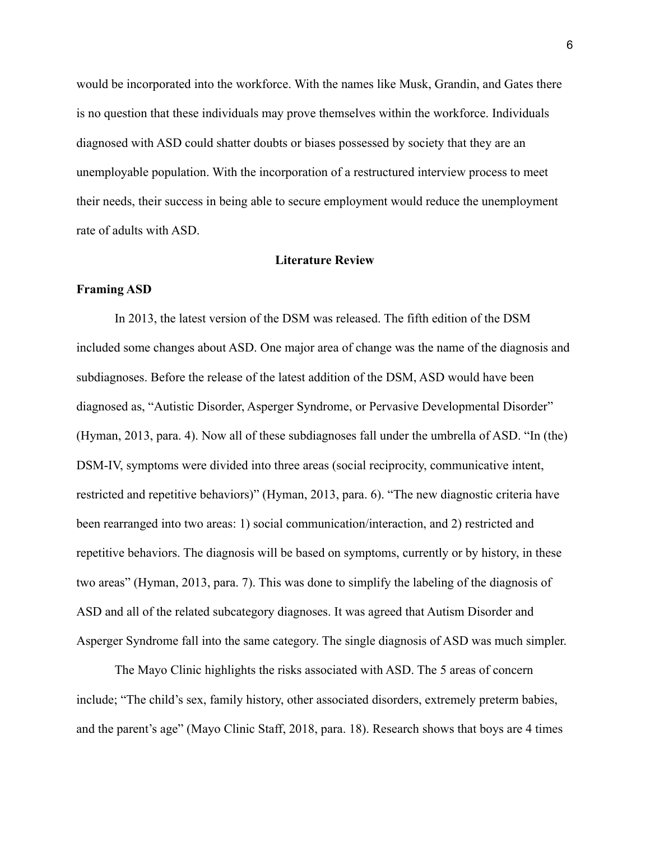would be incorporated into the workforce. With the names like Musk, Grandin, and Gates there is no question that these individuals may prove themselves within the workforce. Individuals diagnosed with ASD could shatter doubts or biases possessed by society that they are an unemployable population. With the incorporation of a restructured interview process to meet their needs, their success in being able to secure employment would reduce the unemployment rate of adults with ASD.

#### **Literature Review**

### **Framing ASD**

In 2013, the latest version of the DSM was released. The fifth edition of the DSM included some changes about ASD. One major area of change was the name of the diagnosis and subdiagnoses. Before the release of the latest addition of the DSM, ASD would have been diagnosed as, "Autistic Disorder, Asperger Syndrome, or Pervasive Developmental Disorder" (Hyman, 2013, para. 4). Now all of these subdiagnoses fall under the umbrella of ASD. "In (the) DSM-IV, symptoms were divided into three areas (social reciprocity, communicative intent, restricted and repetitive behaviors)" (Hyman, 2013, para. 6). "The new diagnostic criteria have been rearranged into two areas: 1) social communication/interaction, and 2) restricted and repetitive behaviors. The diagnosis will be based on symptoms, currently or by history, in these two areas" (Hyman, 2013, para. 7). This was done to simplify the labeling of the diagnosis of ASD and all of the related subcategory diagnoses. It was agreed that Autism Disorder and Asperger Syndrome fall into the same category. The single diagnosis of ASD was much simpler.

The Mayo Clinic highlights the risks associated with ASD. The 5 areas of concern include; "The child's sex, family history, other associated disorders, extremely preterm babies, and the parent's age" (Mayo Clinic Staff, 2018, para. 18). Research shows that boys are 4 times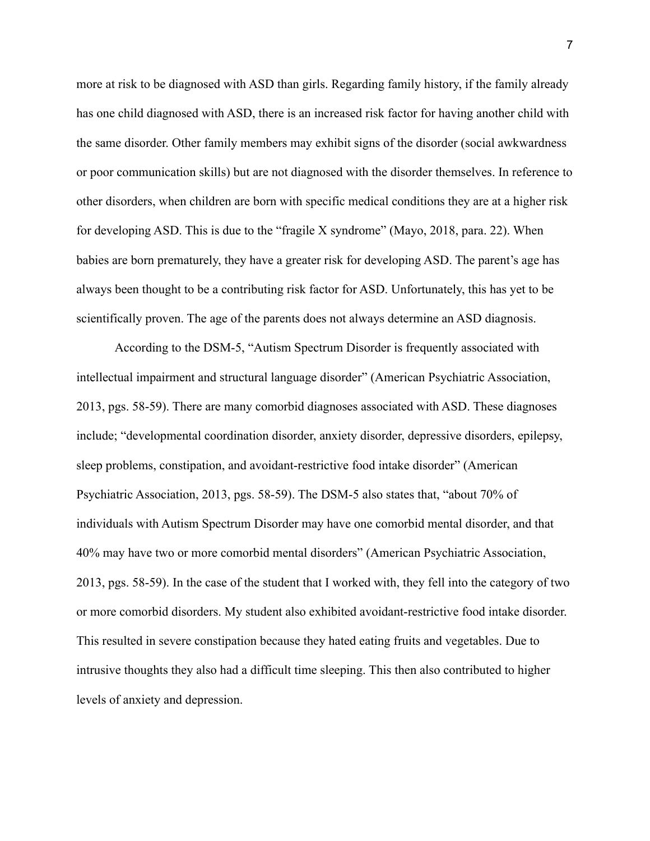more at risk to be diagnosed with ASD than girls. Regarding family history, if the family already has one child diagnosed with ASD, there is an increased risk factor for having another child with the same disorder. Other family members may exhibit signs of the disorder (social awkwardness or poor communication skills) but are not diagnosed with the disorder themselves. In reference to other disorders, when children are born with specific medical conditions they are at a higher risk for developing ASD. This is due to the "fragile X syndrome" (Mayo, 2018, para. 22). When babies are born prematurely, they have a greater risk for developing ASD. The parent's age has always been thought to be a contributing risk factor for ASD. Unfortunately, this has yet to be scientifically proven. The age of the parents does not always determine an ASD diagnosis.

According to the DSM-5, "Autism Spectrum Disorder is frequently associated with intellectual impairment and structural language disorder" (American Psychiatric Association, 2013, pgs. 58-59). There are many comorbid diagnoses associated with ASD. These diagnoses include; "developmental coordination disorder, anxiety disorder, depressive disorders, epilepsy, sleep problems, constipation, and avoidant-restrictive food intake disorder" (American Psychiatric Association, 2013, pgs. 58-59). The DSM-5 also states that, "about 70% of individuals with Autism Spectrum Disorder may have one comorbid mental disorder, and that 40% may have two or more comorbid mental disorders" (American Psychiatric Association, 2013, pgs. 58-59). In the case of the student that I worked with, they fell into the category of two or more comorbid disorders. My student also exhibited avoidant-restrictive food intake disorder. This resulted in severe constipation because they hated eating fruits and vegetables. Due to intrusive thoughts they also had a difficult time sleeping. This then also contributed to higher levels of anxiety and depression.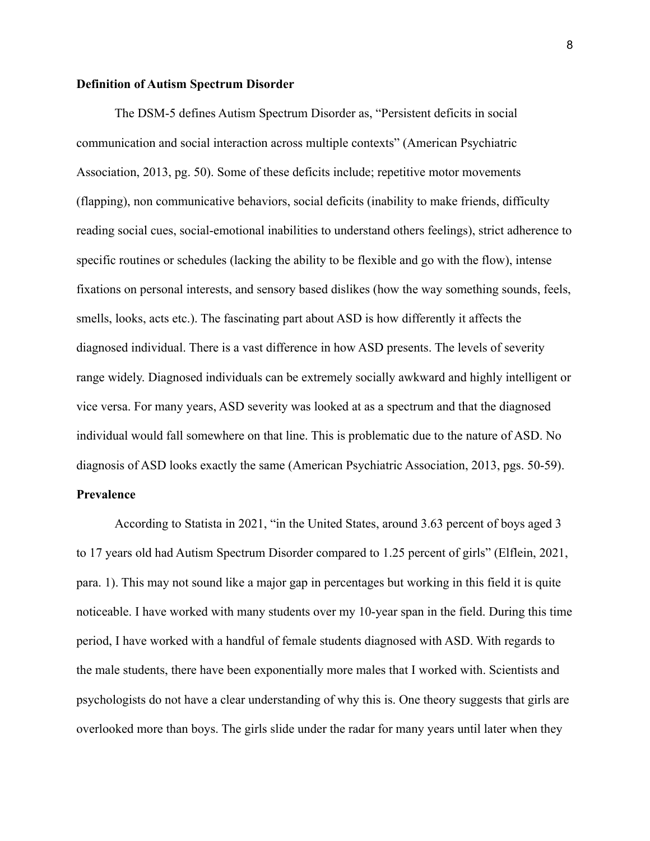#### **Definition of Autism Spectrum Disorder**

The DSM-5 defines Autism Spectrum Disorder as, "Persistent deficits in social communication and social interaction across multiple contexts" (American Psychiatric Association, 2013, pg. 50). Some of these deficits include; repetitive motor movements (flapping), non communicative behaviors, social deficits (inability to make friends, difficulty reading social cues, social-emotional inabilities to understand others feelings), strict adherence to specific routines or schedules (lacking the ability to be flexible and go with the flow), intense fixations on personal interests, and sensory based dislikes (how the way something sounds, feels, smells, looks, acts etc.). The fascinating part about ASD is how differently it affects the diagnosed individual. There is a vast difference in how ASD presents. The levels of severity range widely. Diagnosed individuals can be extremely socially awkward and highly intelligent or vice versa. For many years, ASD severity was looked at as a spectrum and that the diagnosed individual would fall somewhere on that line. This is problematic due to the nature of ASD. No diagnosis of ASD looks exactly the same (American Psychiatric Association, 2013, pgs. 50-59).

## **Prevalence**

According to Statista in 2021, "in the United States, around 3.63 percent of boys aged 3 to 17 years old had Autism Spectrum Disorder compared to 1.25 percent of girls" (Elflein, 2021, para. 1). This may not sound like a major gap in percentages but working in this field it is quite noticeable. I have worked with many students over my 10-year span in the field. During this time period, I have worked with a handful of female students diagnosed with ASD. With regards to the male students, there have been exponentially more males that I worked with. Scientists and psychologists do not have a clear understanding of why this is. One theory suggests that girls are overlooked more than boys. The girls slide under the radar for many years until later when they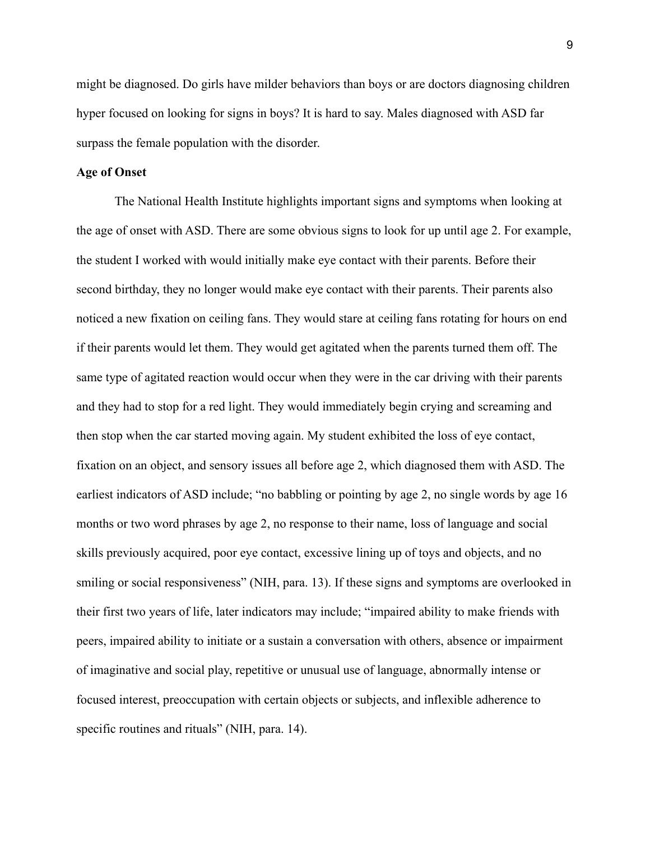might be diagnosed. Do girls have milder behaviors than boys or are doctors diagnosing children hyper focused on looking for signs in boys? It is hard to say. Males diagnosed with ASD far surpass the female population with the disorder.

## **Age of Onset**

The National Health Institute highlights important signs and symptoms when looking at the age of onset with ASD. There are some obvious signs to look for up until age 2. For example, the student I worked with would initially make eye contact with their parents. Before their second birthday, they no longer would make eye contact with their parents. Their parents also noticed a new fixation on ceiling fans. They would stare at ceiling fans rotating for hours on end if their parents would let them. They would get agitated when the parents turned them off. The same type of agitated reaction would occur when they were in the car driving with their parents and they had to stop for a red light. They would immediately begin crying and screaming and then stop when the car started moving again. My student exhibited the loss of eye contact, fixation on an object, and sensory issues all before age 2, which diagnosed them with ASD. The earliest indicators of ASD include; "no babbling or pointing by age 2, no single words by age 16 months or two word phrases by age 2, no response to their name, loss of language and social skills previously acquired, poor eye contact, excessive lining up of toys and objects, and no smiling or social responsiveness" (NIH, para. 13). If these signs and symptoms are overlooked in their first two years of life, later indicators may include; "impaired ability to make friends with peers, impaired ability to initiate or a sustain a conversation with others, absence or impairment of imaginative and social play, repetitive or unusual use of language, abnormally intense or focused interest, preoccupation with certain objects or subjects, and inflexible adherence to specific routines and rituals" (NIH, para. 14).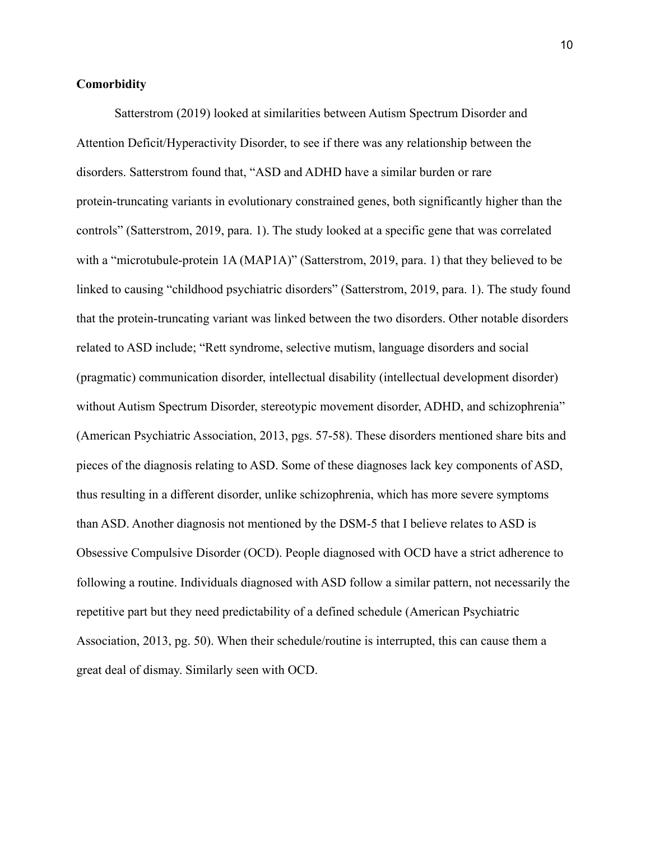## **Comorbidity**

Satterstrom (2019) looked at similarities between Autism Spectrum Disorder and Attention Deficit/Hyperactivity Disorder, to see if there was any relationship between the disorders. Satterstrom found that, "ASD and ADHD have a similar burden or rare protein-truncating variants in evolutionary constrained genes, both significantly higher than the controls" (Satterstrom, 2019, para. 1). The study looked at a specific gene that was correlated with a "microtubule-protein 1A (MAP1A)" (Satterstrom, 2019, para. 1) that they believed to be linked to causing "childhood psychiatric disorders" (Satterstrom, 2019, para. 1). The study found that the protein-truncating variant was linked between the two disorders. Other notable disorders related to ASD include; "Rett syndrome, selective mutism, language disorders and social (pragmatic) communication disorder, intellectual disability (intellectual development disorder) without Autism Spectrum Disorder, stereotypic movement disorder, ADHD, and schizophrenia" (American Psychiatric Association, 2013, pgs. 57-58). These disorders mentioned share bits and pieces of the diagnosis relating to ASD. Some of these diagnoses lack key components of ASD, thus resulting in a different disorder, unlike schizophrenia, which has more severe symptoms than ASD. Another diagnosis not mentioned by the DSM-5 that I believe relates to ASD is Obsessive Compulsive Disorder (OCD). People diagnosed with OCD have a strict adherence to following a routine. Individuals diagnosed with ASD follow a similar pattern, not necessarily the repetitive part but they need predictability of a defined schedule (American Psychiatric Association, 2013, pg. 50). When their schedule/routine is interrupted, this can cause them a great deal of dismay. Similarly seen with OCD.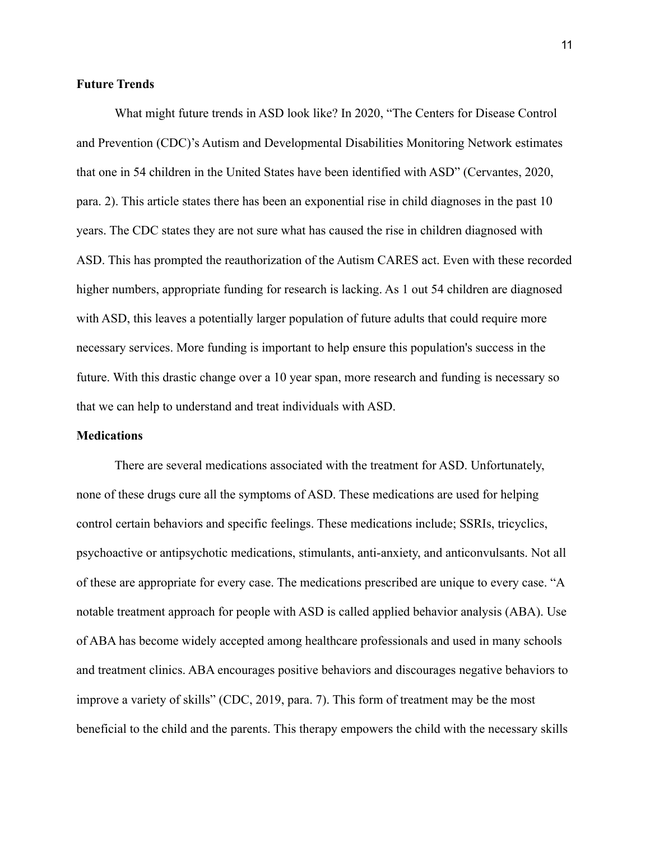## **Future Trends**

What might future trends in ASD look like? In 2020, "The Centers for Disease Control and Prevention (CDC)'s Autism and Developmental Disabilities Monitoring Network estimates that one in 54 children in the United States have been identified with ASD" (Cervantes, 2020, para. 2). This article states there has been an exponential rise in child diagnoses in the past 10 years. The CDC states they are not sure what has caused the rise in children diagnosed with ASD. This has prompted the reauthorization of the Autism CARES act. Even with these recorded higher numbers, appropriate funding for research is lacking. As 1 out 54 children are diagnosed with ASD, this leaves a potentially larger population of future adults that could require more necessary services. More funding is important to help ensure this population's success in the future. With this drastic change over a 10 year span, more research and funding is necessary so that we can help to understand and treat individuals with ASD.

#### **Medications**

There are several medications associated with the treatment for ASD. Unfortunately, none of these drugs cure all the symptoms of ASD. These medications are used for helping control certain behaviors and specific feelings. These medications include; SSRIs, tricyclics, psychoactive or antipsychotic medications, stimulants, anti-anxiety, and anticonvulsants. Not all of these are appropriate for every case. The medications prescribed are unique to every case. "A notable treatment approach for people with ASD is called applied behavior analysis (ABA). Use of ABA has become widely accepted among healthcare professionals and used in many schools and treatment clinics. ABA encourages positive behaviors and discourages negative behaviors to improve a variety of skills" (CDC, 2019, para. 7). This form of treatment may be the most beneficial to the child and the parents. This therapy empowers the child with the necessary skills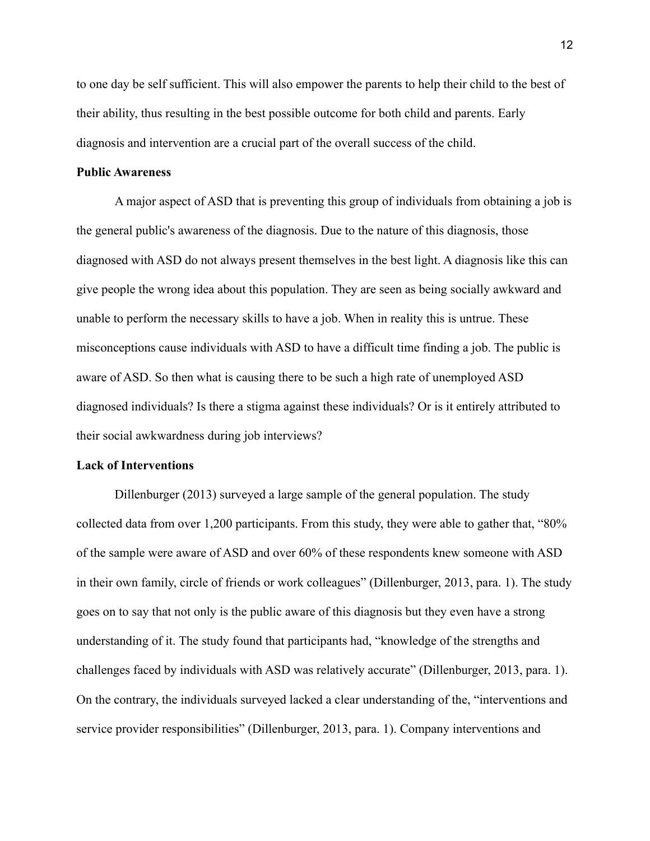to one day be self sufficient. This will also empower the parents to help their child to the best of their ability, thus resulting in the best possible outcome for both child and parents. Early diagnosis and intervention are a crucial part of the overall success of the child.

### **Public Awareness**

A major aspect of ASD that is preventing this group of individuals from obtaining a job is the general public's awareness of the diagnosis. Due to the nature of this diagnosis, those diagnosed with ASD do not always present themselves in the best light. A diagnosis like this can give people the wrong idea about this population. They are seen as being socially awkward and unable to perform the necessary skills to have a job. When in reality this is untrue. These misconceptions cause individuals with ASD to have a difficult time finding a job. The public is aware of ASD. So then what is causing there to be such a high rate of unemployed ASD diagnosed individuals? Is there a stigma against these individuals? Or is it entirely attributed to their social awkwardness during job interviews?

#### **Lack of Interventions**

Dillenburger (2013) surveyed a large sample of the general population. The study collected data from over 1,200 participants. From this study, they were able to gather that, "80% of the sample were aware of ASD and over 60% of these respondents knew someone with ASD in their own family, circle of friends or work colleagues" (Dillenburger, 2013, para. 1). The study goes on to say that not only is the public aware of this diagnosis but they even have a strong understanding of it. The study found that participants had, "knowledge of the strengths and challenges faced by individuals with ASD was relatively accurate" (Dillenburger, 2013, para. 1). On the contrary, the individuals surveyed lacked a clear understanding of the, "interventions and service provider responsibilities" (Dillenburger, 2013, para. 1). Company interventions and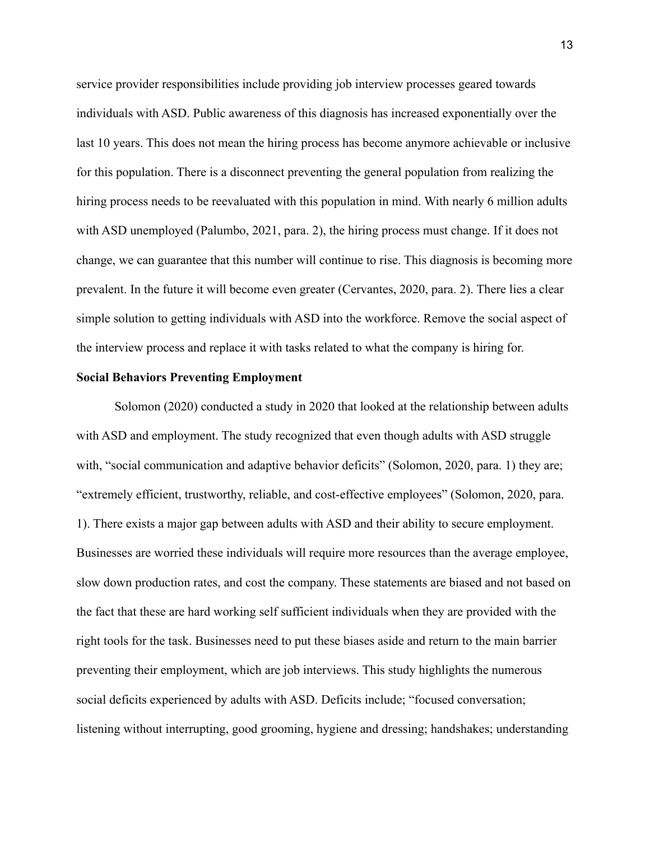service provider responsibilities include providing job interview processes geared towards individuals with ASD. Public awareness of this diagnosis has increased exponentially over the last 10 years. This does not mean the hiring process has become anymore achievable or inclusive for this population. There is a disconnect preventing the general population from realizing the hiring process needs to be reevaluated with this population in mind. With nearly 6 million adults with ASD unemployed (Palumbo, 2021, para. 2), the hiring process must change. If it does not change, we can guarantee that this number will continue to rise. This diagnosis is becoming more prevalent. In the future it will become even greater (Cervantes, 2020, para. 2). There lies a clear simple solution to getting individuals with ASD into the workforce. Remove the social aspect of the interview process and replace it with tasks related to what the company is hiring for.

#### **Social Behaviors Preventing Employment**

Solomon (2020) conducted a study in 2020 that looked at the relationship between adults with ASD and employment. The study recognized that even though adults with ASD struggle with, "social communication and adaptive behavior deficits" (Solomon, 2020, para. 1) they are; "extremely efficient, trustworthy, reliable, and cost-effective employees" (Solomon, 2020, para. 1). There exists a major gap between adults with ASD and their ability to secure employment. Businesses are worried these individuals will require more resources than the average employee, slow down production rates, and cost the company. These statements are biased and not based on the fact that these are hard working self sufficient individuals when they are provided with the right tools for the task. Businesses need to put these biases aside and return to the main barrier preventing their employment, which are job interviews. This study highlights the numerous social deficits experienced by adults with ASD. Deficits include; "focused conversation; listening without interrupting, good grooming, hygiene and dressing; handshakes; understanding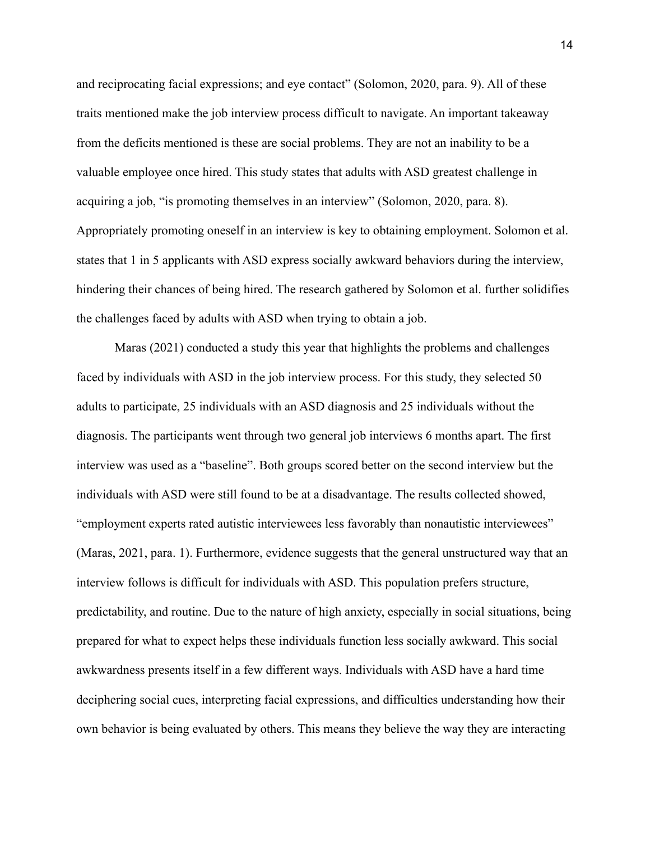and reciprocating facial expressions; and eye contact" (Solomon, 2020, para. 9). All of these traits mentioned make the job interview process difficult to navigate. An important takeaway from the deficits mentioned is these are social problems. They are not an inability to be a valuable employee once hired. This study states that adults with ASD greatest challenge in acquiring a job, "is promoting themselves in an interview" (Solomon, 2020, para. 8). Appropriately promoting oneself in an interview is key to obtaining employment. Solomon et al. states that 1 in 5 applicants with ASD express socially awkward behaviors during the interview, hindering their chances of being hired. The research gathered by Solomon et al. further solidifies the challenges faced by adults with ASD when trying to obtain a job.

Maras (2021) conducted a study this year that highlights the problems and challenges faced by individuals with ASD in the job interview process. For this study, they selected 50 adults to participate, 25 individuals with an ASD diagnosis and 25 individuals without the diagnosis. The participants went through two general job interviews 6 months apart. The first interview was used as a "baseline". Both groups scored better on the second interview but the individuals with ASD were still found to be at a disadvantage. The results collected showed, "employment experts rated autistic interviewees less favorably than nonautistic interviewees" (Maras, 2021, para. 1). Furthermore, evidence suggests that the general unstructured way that an interview follows is difficult for individuals with ASD. This population prefers structure, predictability, and routine. Due to the nature of high anxiety, especially in social situations, being prepared for what to expect helps these individuals function less socially awkward. This social awkwardness presents itself in a few different ways. Individuals with ASD have a hard time deciphering social cues, interpreting facial expressions, and difficulties understanding how their own behavior is being evaluated by others. This means they believe the way they are interacting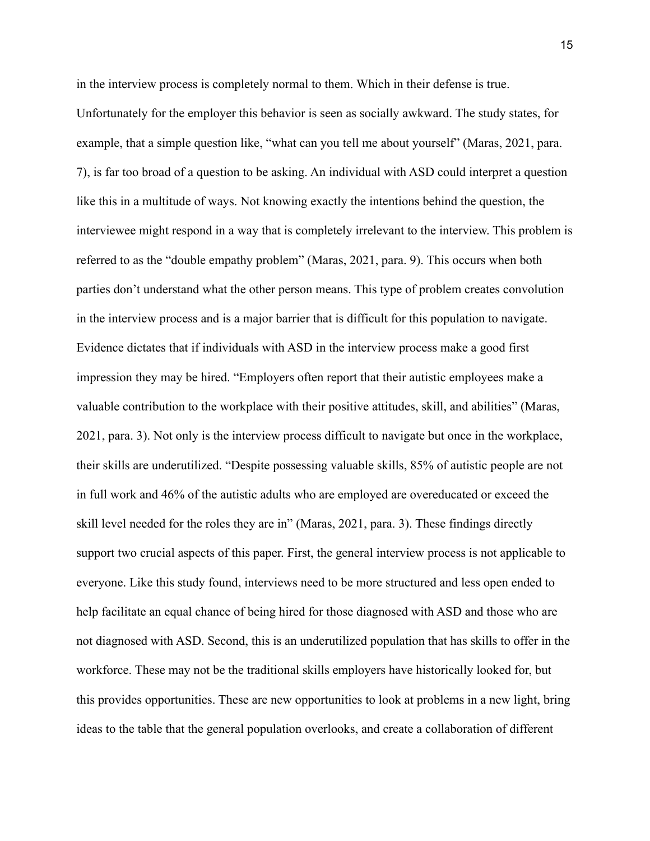in the interview process is completely normal to them. Which in their defense is true. Unfortunately for the employer this behavior is seen as socially awkward. The study states, for example, that a simple question like, "what can you tell me about yourself" (Maras, 2021, para. 7), is far too broad of a question to be asking. An individual with ASD could interpret a question like this in a multitude of ways. Not knowing exactly the intentions behind the question, the interviewee might respond in a way that is completely irrelevant to the interview. This problem is referred to as the "double empathy problem" (Maras, 2021, para. 9). This occurs when both parties don't understand what the other person means. This type of problem creates convolution in the interview process and is a major barrier that is difficult for this population to navigate. Evidence dictates that if individuals with ASD in the interview process make a good first impression they may be hired. "Employers often report that their autistic employees make a valuable contribution to the workplace with their positive attitudes, skill, and abilities" (Maras, 2021, para. 3). Not only is the interview process difficult to navigate but once in the workplace, their skills are underutilized. "Despite possessing valuable skills, 85% of autistic people are not in full work and 46% of the autistic adults who are employed are overeducated or exceed the skill level needed for the roles they are in" (Maras, 2021, para. 3). These findings directly support two crucial aspects of this paper. First, the general interview process is not applicable to everyone. Like this study found, interviews need to be more structured and less open ended to help facilitate an equal chance of being hired for those diagnosed with ASD and those who are not diagnosed with ASD. Second, this is an underutilized population that has skills to offer in the workforce. These may not be the traditional skills employers have historically looked for, but this provides opportunities. These are new opportunities to look at problems in a new light, bring ideas to the table that the general population overlooks, and create a collaboration of different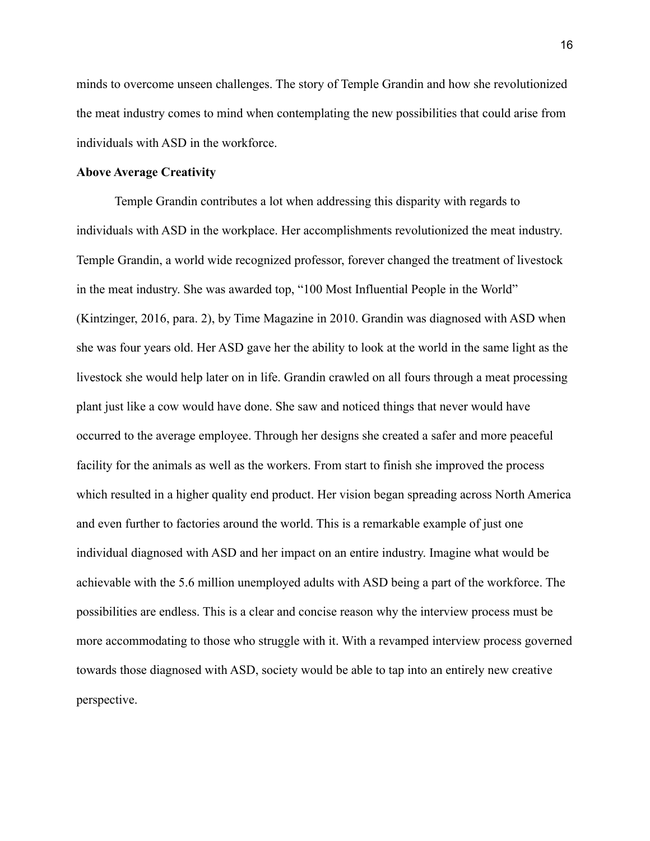minds to overcome unseen challenges. The story of Temple Grandin and how she revolutionized the meat industry comes to mind when contemplating the new possibilities that could arise from individuals with ASD in the workforce.

#### **Above Average Creativity**

Temple Grandin contributes a lot when addressing this disparity with regards to individuals with ASD in the workplace. Her accomplishments revolutionized the meat industry. Temple Grandin, a world wide recognized professor, forever changed the treatment of livestock in the meat industry. She was awarded top, "100 Most Influential People in the World" (Kintzinger, 2016, para. 2), by Time Magazine in 2010. Grandin was diagnosed with ASD when she was four years old. Her ASD gave her the ability to look at the world in the same light as the livestock she would help later on in life. Grandin crawled on all fours through a meat processing plant just like a cow would have done. She saw and noticed things that never would have occurred to the average employee. Through her designs she created a safer and more peaceful facility for the animals as well as the workers. From start to finish she improved the process which resulted in a higher quality end product. Her vision began spreading across North America and even further to factories around the world. This is a remarkable example of just one individual diagnosed with ASD and her impact on an entire industry. Imagine what would be achievable with the 5.6 million unemployed adults with ASD being a part of the workforce. The possibilities are endless. This is a clear and concise reason why the interview process must be more accommodating to those who struggle with it. With a revamped interview process governed towards those diagnosed with ASD, society would be able to tap into an entirely new creative perspective.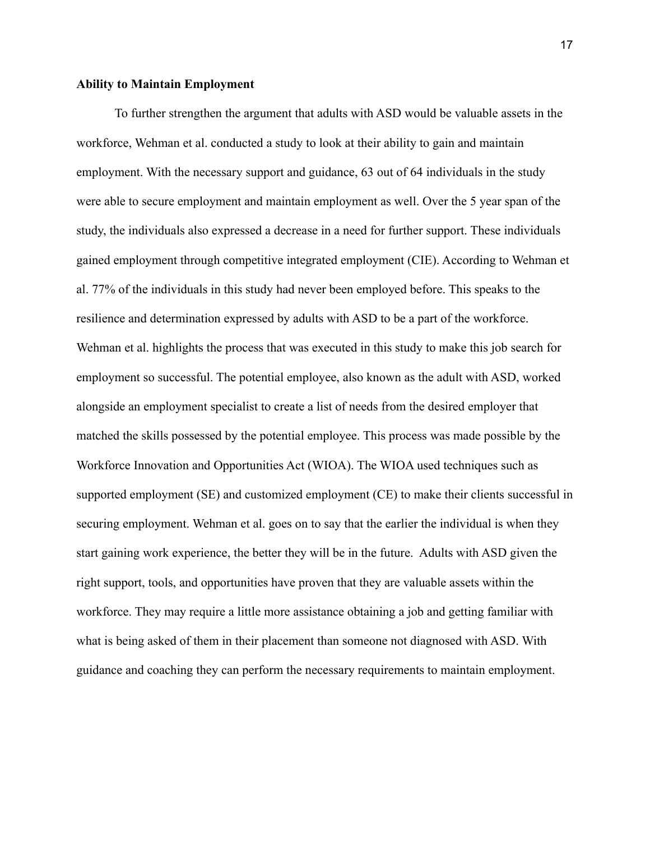#### **Ability to Maintain Employment**

To further strengthen the argument that adults with ASD would be valuable assets in the workforce, Wehman et al. conducted a study to look at their ability to gain and maintain employment. With the necessary support and guidance, 63 out of 64 individuals in the study were able to secure employment and maintain employment as well. Over the 5 year span of the study, the individuals also expressed a decrease in a need for further support. These individuals gained employment through competitive integrated employment (CIE). According to Wehman et al. 77% of the individuals in this study had never been employed before. This speaks to the resilience and determination expressed by adults with ASD to be a part of the workforce. Wehman et al. highlights the process that was executed in this study to make this job search for employment so successful. The potential employee, also known as the adult with ASD, worked alongside an employment specialist to create a list of needs from the desired employer that matched the skills possessed by the potential employee. This process was made possible by the Workforce Innovation and Opportunities Act (WIOA). The WIOA used techniques such as supported employment (SE) and customized employment (CE) to make their clients successful in securing employment. Wehman et al. goes on to say that the earlier the individual is when they start gaining work experience, the better they will be in the future. Adults with ASD given the right support, tools, and opportunities have proven that they are valuable assets within the workforce. They may require a little more assistance obtaining a job and getting familiar with what is being asked of them in their placement than someone not diagnosed with ASD. With guidance and coaching they can perform the necessary requirements to maintain employment.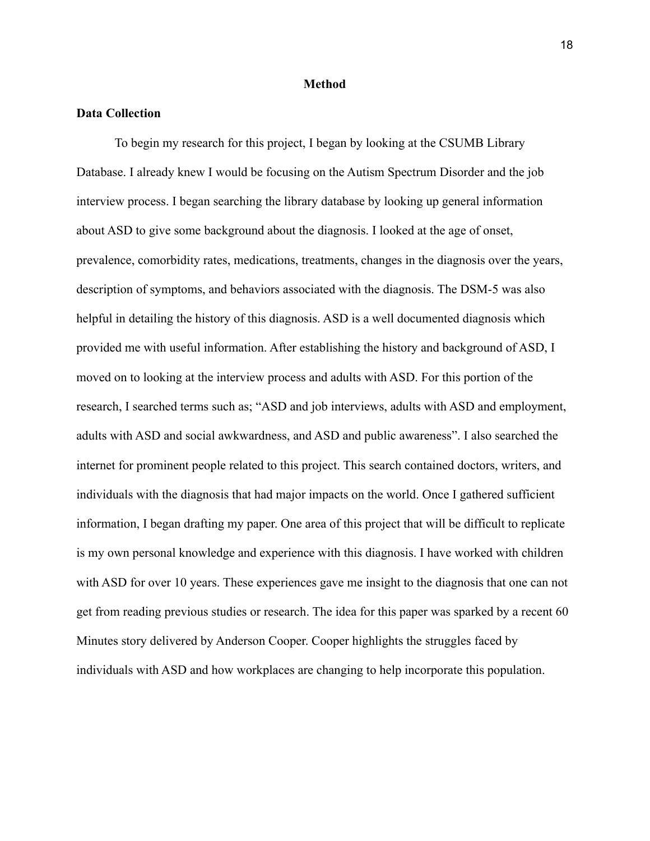### **Method**

### **Data Collection**

To begin my research for this project, I began by looking at the CSUMB Library Database. I already knew I would be focusing on the Autism Spectrum Disorder and the job interview process. I began searching the library database by looking up general information about ASD to give some background about the diagnosis. I looked at the age of onset, prevalence, comorbidity rates, medications, treatments, changes in the diagnosis over the years, description of symptoms, and behaviors associated with the diagnosis. The DSM-5 was also helpful in detailing the history of this diagnosis. ASD is a well documented diagnosis which provided me with useful information. After establishing the history and background of ASD, I moved on to looking at the interview process and adults with ASD. For this portion of the research, I searched terms such as; "ASD and job interviews, adults with ASD and employment, adults with ASD and social awkwardness, and ASD and public awareness". I also searched the internet for prominent people related to this project. This search contained doctors, writers, and individuals with the diagnosis that had major impacts on the world. Once I gathered sufficient information, I began drafting my paper. One area of this project that will be difficult to replicate is my own personal knowledge and experience with this diagnosis. I have worked with children with ASD for over 10 years. These experiences gave me insight to the diagnosis that one can not get from reading previous studies or research. The idea for this paper was sparked by a recent 60 Minutes story delivered by Anderson Cooper. Cooper highlights the struggles faced by individuals with ASD and how workplaces are changing to help incorporate this population.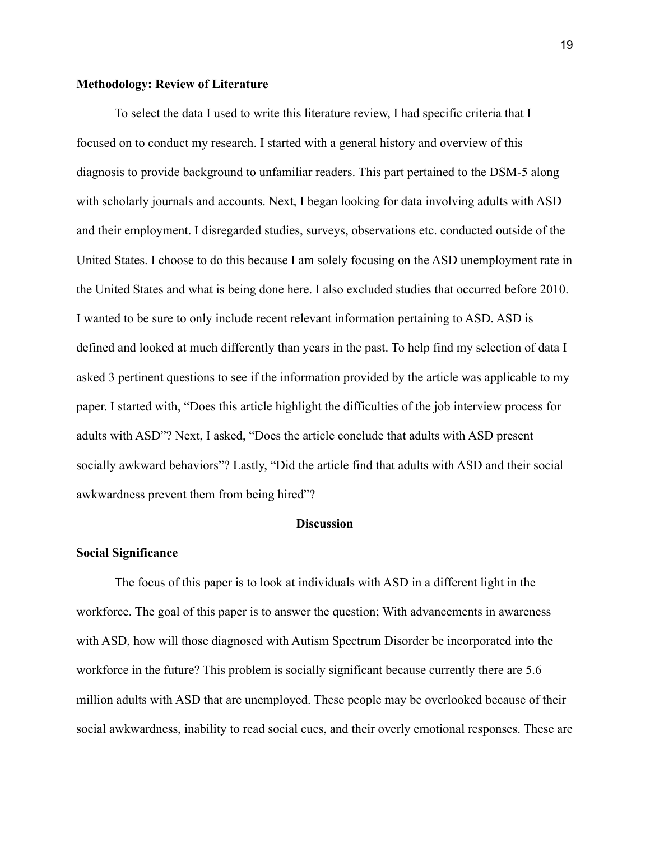## **Methodology: Review of Literature**

To select the data I used to write this literature review, I had specific criteria that I focused on to conduct my research. I started with a general history and overview of this diagnosis to provide background to unfamiliar readers. This part pertained to the DSM-5 along with scholarly journals and accounts. Next, I began looking for data involving adults with ASD and their employment. I disregarded studies, surveys, observations etc. conducted outside of the United States. I choose to do this because I am solely focusing on the ASD unemployment rate in the United States and what is being done here. I also excluded studies that occurred before 2010. I wanted to be sure to only include recent relevant information pertaining to ASD. ASD is defined and looked at much differently than years in the past. To help find my selection of data I asked 3 pertinent questions to see if the information provided by the article was applicable to my paper. I started with, "Does this article highlight the difficulties of the job interview process for adults with ASD"? Next, I asked, "Does the article conclude that adults with ASD present socially awkward behaviors"? Lastly, "Did the article find that adults with ASD and their social awkwardness prevent them from being hired"?

#### **Discussion**

#### **Social Significance**

The focus of this paper is to look at individuals with ASD in a different light in the workforce. The goal of this paper is to answer the question; With advancements in awareness with ASD, how will those diagnosed with Autism Spectrum Disorder be incorporated into the workforce in the future? This problem is socially significant because currently there are 5.6 million adults with ASD that are unemployed. These people may be overlooked because of their social awkwardness, inability to read social cues, and their overly emotional responses. These are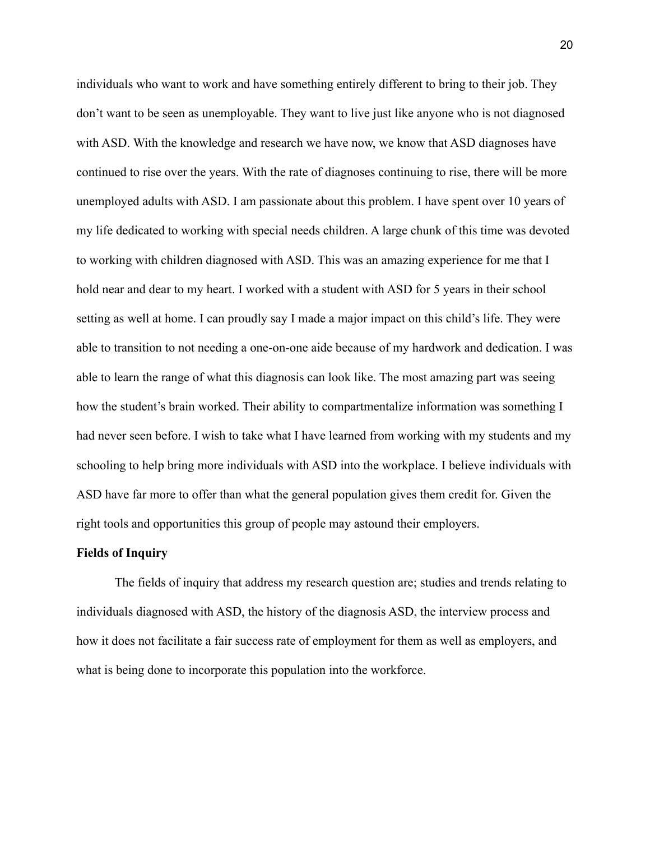individuals who want to work and have something entirely different to bring to their job. They don't want to be seen as unemployable. They want to live just like anyone who is not diagnosed with ASD. With the knowledge and research we have now, we know that ASD diagnoses have continued to rise over the years. With the rate of diagnoses continuing to rise, there will be more unemployed adults with ASD. I am passionate about this problem. I have spent over 10 years of my life dedicated to working with special needs children. A large chunk of this time was devoted to working with children diagnosed with ASD. This was an amazing experience for me that I hold near and dear to my heart. I worked with a student with ASD for 5 years in their school setting as well at home. I can proudly say I made a major impact on this child's life. They were able to transition to not needing a one-on-one aide because of my hardwork and dedication. I was able to learn the range of what this diagnosis can look like. The most amazing part was seeing how the student's brain worked. Their ability to compartmentalize information was something I had never seen before. I wish to take what I have learned from working with my students and my schooling to help bring more individuals with ASD into the workplace. I believe individuals with ASD have far more to offer than what the general population gives them credit for. Given the right tools and opportunities this group of people may astound their employers.

## **Fields of Inquiry**

The fields of inquiry that address my research question are; studies and trends relating to individuals diagnosed with ASD, the history of the diagnosis ASD, the interview process and how it does not facilitate a fair success rate of employment for them as well as employers, and what is being done to incorporate this population into the workforce.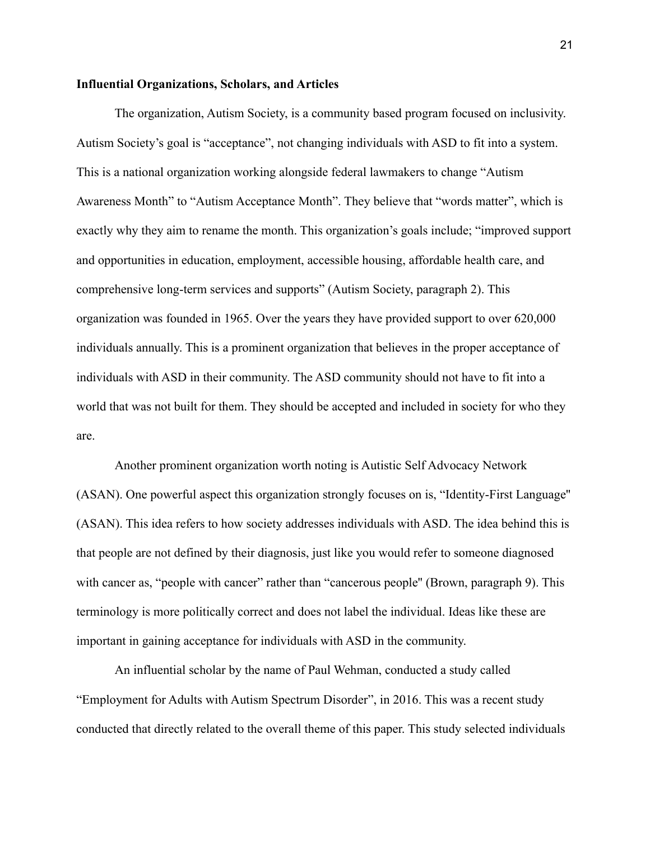## **Influential Organizations, Scholars, and Articles**

The organization, Autism Society, is a community based program focused on inclusivity. Autism Society's goal is "acceptance", not changing individuals with ASD to fit into a system. This is a national organization working alongside federal lawmakers to change "Autism Awareness Month" to "Autism Acceptance Month". They believe that "words matter", which is exactly why they aim to rename the month. This organization's goals include; "improved support and opportunities in education, employment, accessible housing, affordable health care, and comprehensive long-term services and supports" (Autism Society, paragraph 2). This organization was founded in 1965. Over the years they have provided support to over 620,000 individuals annually. This is a prominent organization that believes in the proper acceptance of individuals with ASD in their community. The ASD community should not have to fit into a world that was not built for them. They should be accepted and included in society for who they are.

Another prominent organization worth noting is Autistic Self Advocacy Network (ASAN). One powerful aspect this organization strongly focuses on is, "Identity-First Language'' (ASAN). This idea refers to how society addresses individuals with ASD. The idea behind this is that people are not defined by their diagnosis, just like you would refer to someone diagnosed with cancer as, "people with cancer" rather than "cancerous people" (Brown, paragraph 9). This terminology is more politically correct and does not label the individual. Ideas like these are important in gaining acceptance for individuals with ASD in the community.

An influential scholar by the name of Paul Wehman, conducted a study called "Employment for Adults with Autism Spectrum Disorder", in 2016. This was a recent study conducted that directly related to the overall theme of this paper. This study selected individuals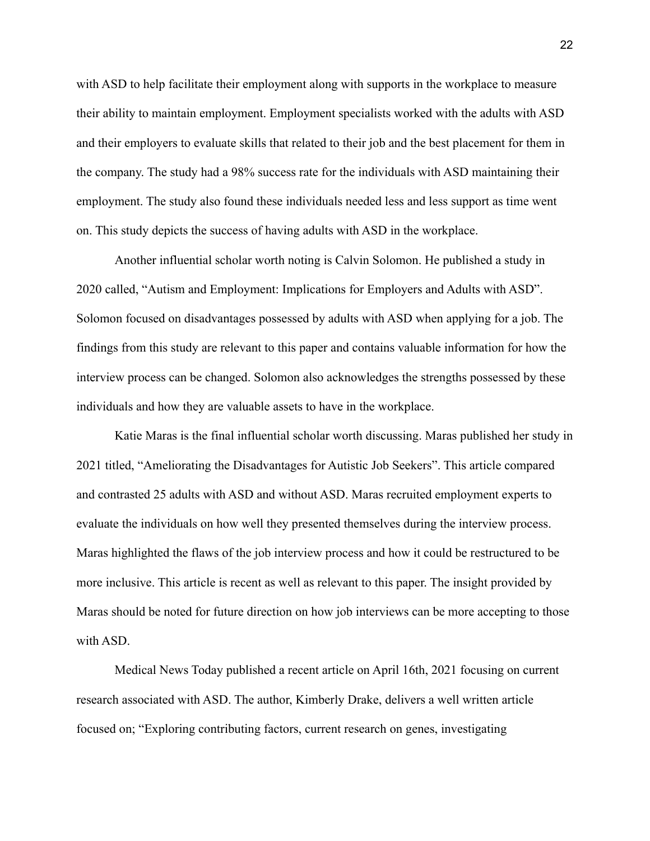with ASD to help facilitate their employment along with supports in the workplace to measure their ability to maintain employment. Employment specialists worked with the adults with ASD and their employers to evaluate skills that related to their job and the best placement for them in the company. The study had a 98% success rate for the individuals with ASD maintaining their employment. The study also found these individuals needed less and less support as time went on. This study depicts the success of having adults with ASD in the workplace.

Another influential scholar worth noting is Calvin Solomon. He published a study in 2020 called, "Autism and Employment: Implications for Employers and Adults with ASD". Solomon focused on disadvantages possessed by adults with ASD when applying for a job. The findings from this study are relevant to this paper and contains valuable information for how the interview process can be changed. Solomon also acknowledges the strengths possessed by these individuals and how they are valuable assets to have in the workplace.

Katie Maras is the final influential scholar worth discussing. Maras published her study in 2021 titled, "Ameliorating the Disadvantages for Autistic Job Seekers". This article compared and contrasted 25 adults with ASD and without ASD. Maras recruited employment experts to evaluate the individuals on how well they presented themselves during the interview process. Maras highlighted the flaws of the job interview process and how it could be restructured to be more inclusive. This article is recent as well as relevant to this paper. The insight provided by Maras should be noted for future direction on how job interviews can be more accepting to those with ASD.

Medical News Today published a recent article on April 16th, 2021 focusing on current research associated with ASD. The author, Kimberly Drake, delivers a well written article focused on; "Exploring contributing factors, current research on genes, investigating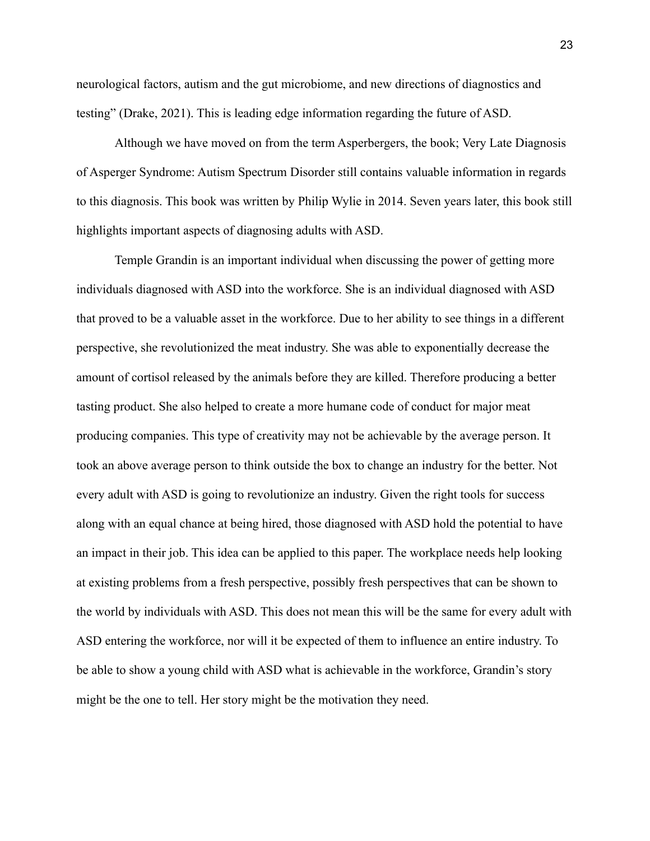neurological factors, autism and the gut microbiome, and new directions of diagnostics and testing" (Drake, 2021). This is leading edge information regarding the future of ASD.

Although we have moved on from the term Asperbergers, the book; Very Late Diagnosis of Asperger Syndrome: Autism Spectrum Disorder still contains valuable information in regards to this diagnosis. This book was written by Philip Wylie in 2014. Seven years later, this book still highlights important aspects of diagnosing adults with ASD.

Temple Grandin is an important individual when discussing the power of getting more individuals diagnosed with ASD into the workforce. She is an individual diagnosed with ASD that proved to be a valuable asset in the workforce. Due to her ability to see things in a different perspective, she revolutionized the meat industry. She was able to exponentially decrease the amount of cortisol released by the animals before they are killed. Therefore producing a better tasting product. She also helped to create a more humane code of conduct for major meat producing companies. This type of creativity may not be achievable by the average person. It took an above average person to think outside the box to change an industry for the better. Not every adult with ASD is going to revolutionize an industry. Given the right tools for success along with an equal chance at being hired, those diagnosed with ASD hold the potential to have an impact in their job. This idea can be applied to this paper. The workplace needs help looking at existing problems from a fresh perspective, possibly fresh perspectives that can be shown to the world by individuals with ASD. This does not mean this will be the same for every adult with ASD entering the workforce, nor will it be expected of them to influence an entire industry. To be able to show a young child with ASD what is achievable in the workforce, Grandin's story might be the one to tell. Her story might be the motivation they need.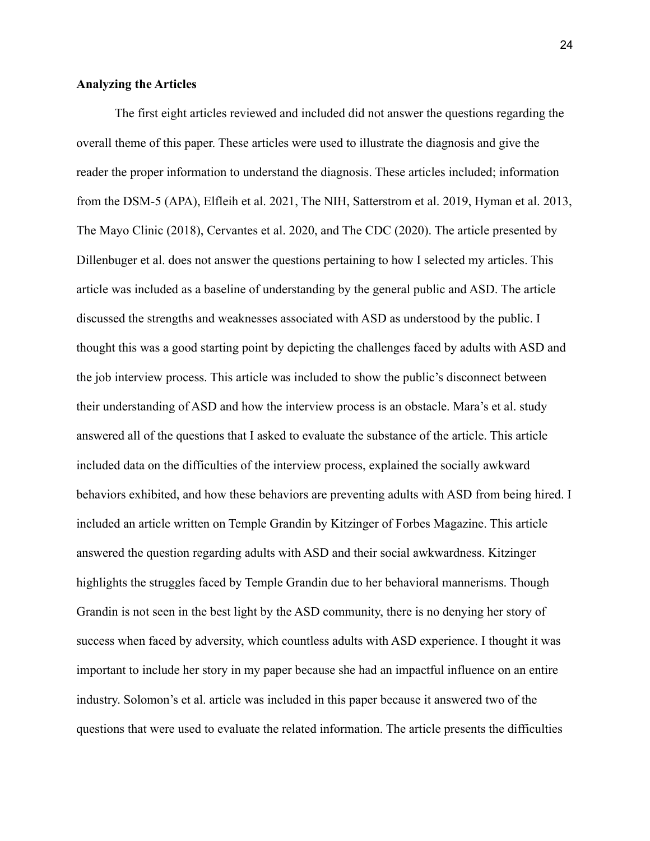### **Analyzing the Articles**

The first eight articles reviewed and included did not answer the questions regarding the overall theme of this paper. These articles were used to illustrate the diagnosis and give the reader the proper information to understand the diagnosis. These articles included; information from the DSM-5 (APA), Elfleih et al. 2021, The NIH, Satterstrom et al. 2019, Hyman et al. 2013, The Mayo Clinic (2018), Cervantes et al. 2020, and The CDC (2020). The article presented by Dillenbuger et al. does not answer the questions pertaining to how I selected my articles. This article was included as a baseline of understanding by the general public and ASD. The article discussed the strengths and weaknesses associated with ASD as understood by the public. I thought this was a good starting point by depicting the challenges faced by adults with ASD and the job interview process. This article was included to show the public's disconnect between their understanding of ASD and how the interview process is an obstacle. Mara's et al. study answered all of the questions that I asked to evaluate the substance of the article. This article included data on the difficulties of the interview process, explained the socially awkward behaviors exhibited, and how these behaviors are preventing adults with ASD from being hired. I included an article written on Temple Grandin by Kitzinger of Forbes Magazine. This article answered the question regarding adults with ASD and their social awkwardness. Kitzinger highlights the struggles faced by Temple Grandin due to her behavioral mannerisms. Though Grandin is not seen in the best light by the ASD community, there is no denying her story of success when faced by adversity, which countless adults with ASD experience. I thought it was important to include her story in my paper because she had an impactful influence on an entire industry. Solomon's et al. article was included in this paper because it answered two of the questions that were used to evaluate the related information. The article presents the difficulties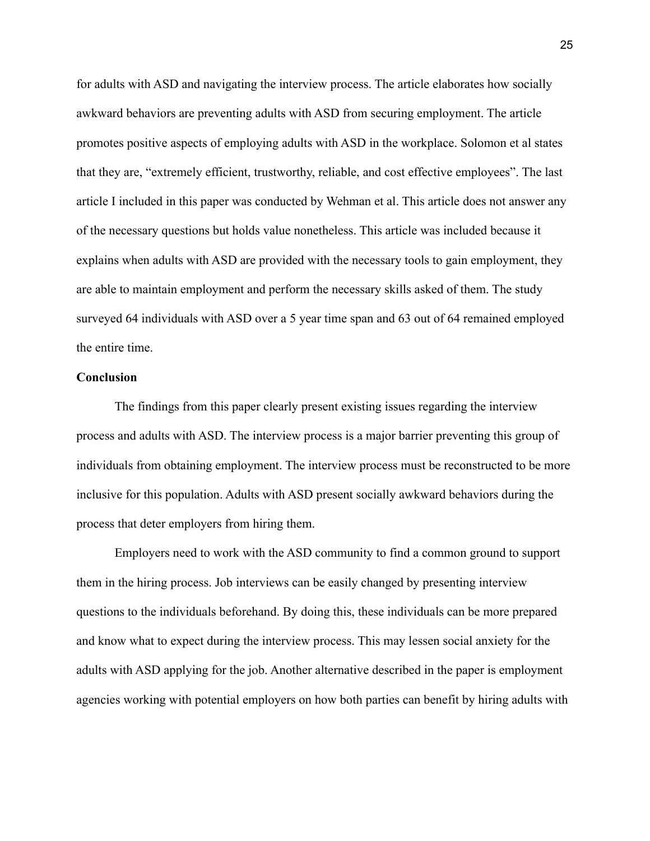for adults with ASD and navigating the interview process. The article elaborates how socially awkward behaviors are preventing adults with ASD from securing employment. The article promotes positive aspects of employing adults with ASD in the workplace. Solomon et al states that they are, "extremely efficient, trustworthy, reliable, and cost effective employees". The last article I included in this paper was conducted by Wehman et al. This article does not answer any of the necessary questions but holds value nonetheless. This article was included because it explains when adults with ASD are provided with the necessary tools to gain employment, they are able to maintain employment and perform the necessary skills asked of them. The study surveyed 64 individuals with ASD over a 5 year time span and 63 out of 64 remained employed the entire time.

## **Conclusion**

The findings from this paper clearly present existing issues regarding the interview process and adults with ASD. The interview process is a major barrier preventing this group of individuals from obtaining employment. The interview process must be reconstructed to be more inclusive for this population. Adults with ASD present socially awkward behaviors during the process that deter employers from hiring them.

Employers need to work with the ASD community to find a common ground to support them in the hiring process. Job interviews can be easily changed by presenting interview questions to the individuals beforehand. By doing this, these individuals can be more prepared and know what to expect during the interview process. This may lessen social anxiety for the adults with ASD applying for the job. Another alternative described in the paper is employment agencies working with potential employers on how both parties can benefit by hiring adults with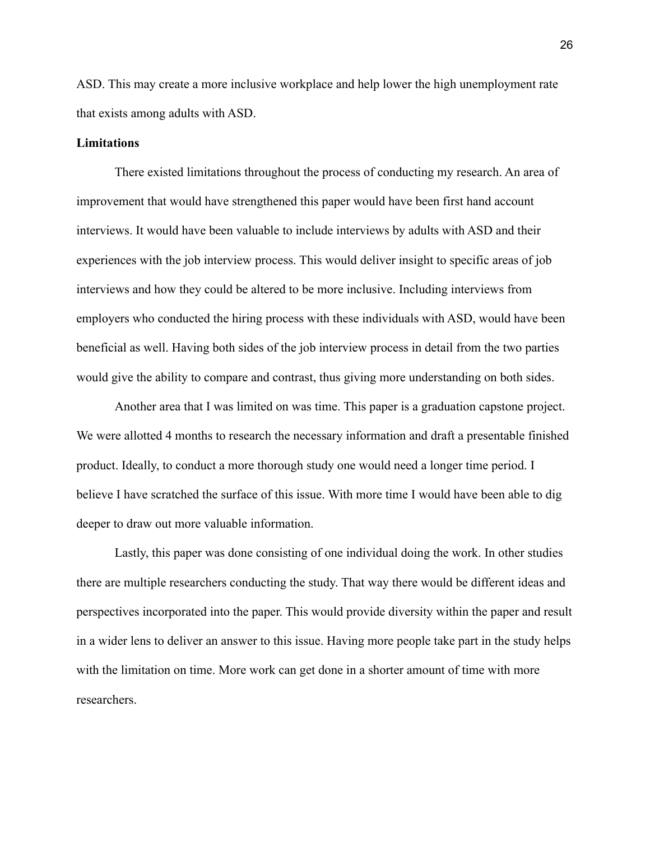ASD. This may create a more inclusive workplace and help lower the high unemployment rate that exists among adults with ASD.

### **Limitations**

There existed limitations throughout the process of conducting my research. An area of improvement that would have strengthened this paper would have been first hand account interviews. It would have been valuable to include interviews by adults with ASD and their experiences with the job interview process. This would deliver insight to specific areas of job interviews and how they could be altered to be more inclusive. Including interviews from employers who conducted the hiring process with these individuals with ASD, would have been beneficial as well. Having both sides of the job interview process in detail from the two parties would give the ability to compare and contrast, thus giving more understanding on both sides.

Another area that I was limited on was time. This paper is a graduation capstone project. We were allotted 4 months to research the necessary information and draft a presentable finished product. Ideally, to conduct a more thorough study one would need a longer time period. I believe I have scratched the surface of this issue. With more time I would have been able to dig deeper to draw out more valuable information.

Lastly, this paper was done consisting of one individual doing the work. In other studies there are multiple researchers conducting the study. That way there would be different ideas and perspectives incorporated into the paper. This would provide diversity within the paper and result in a wider lens to deliver an answer to this issue. Having more people take part in the study helps with the limitation on time. More work can get done in a shorter amount of time with more researchers.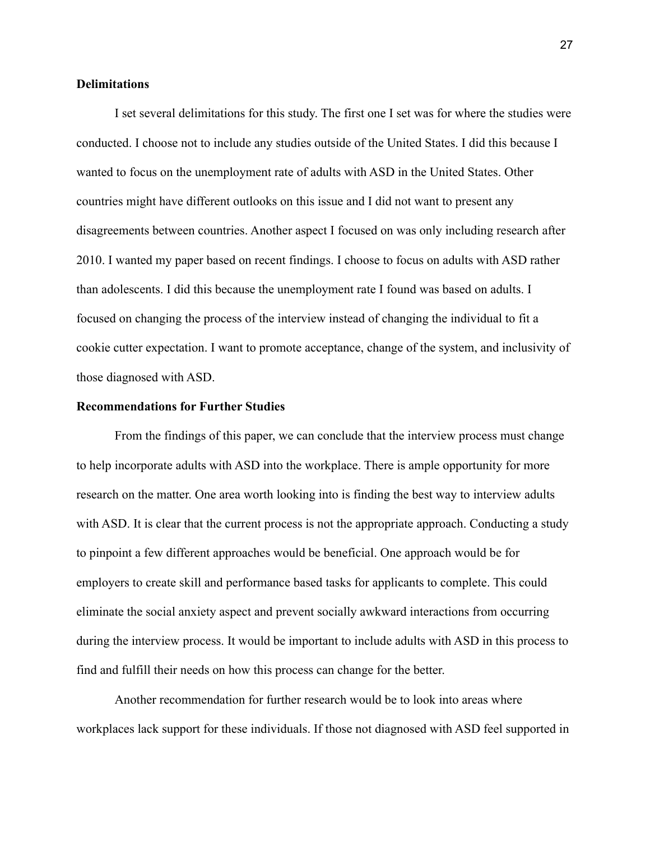## **Delimitations**

I set several delimitations for this study. The first one I set was for where the studies were conducted. I choose not to include any studies outside of the United States. I did this because I wanted to focus on the unemployment rate of adults with ASD in the United States. Other countries might have different outlooks on this issue and I did not want to present any disagreements between countries. Another aspect I focused on was only including research after 2010. I wanted my paper based on recent findings. I choose to focus on adults with ASD rather than adolescents. I did this because the unemployment rate I found was based on adults. I focused on changing the process of the interview instead of changing the individual to fit a cookie cutter expectation. I want to promote acceptance, change of the system, and inclusivity of those diagnosed with ASD.

## **Recommendations for Further Studies**

From the findings of this paper, we can conclude that the interview process must change to help incorporate adults with ASD into the workplace. There is ample opportunity for more research on the matter. One area worth looking into is finding the best way to interview adults with ASD. It is clear that the current process is not the appropriate approach. Conducting a study to pinpoint a few different approaches would be beneficial. One approach would be for employers to create skill and performance based tasks for applicants to complete. This could eliminate the social anxiety aspect and prevent socially awkward interactions from occurring during the interview process. It would be important to include adults with ASD in this process to find and fulfill their needs on how this process can change for the better.

Another recommendation for further research would be to look into areas where workplaces lack support for these individuals. If those not diagnosed with ASD feel supported in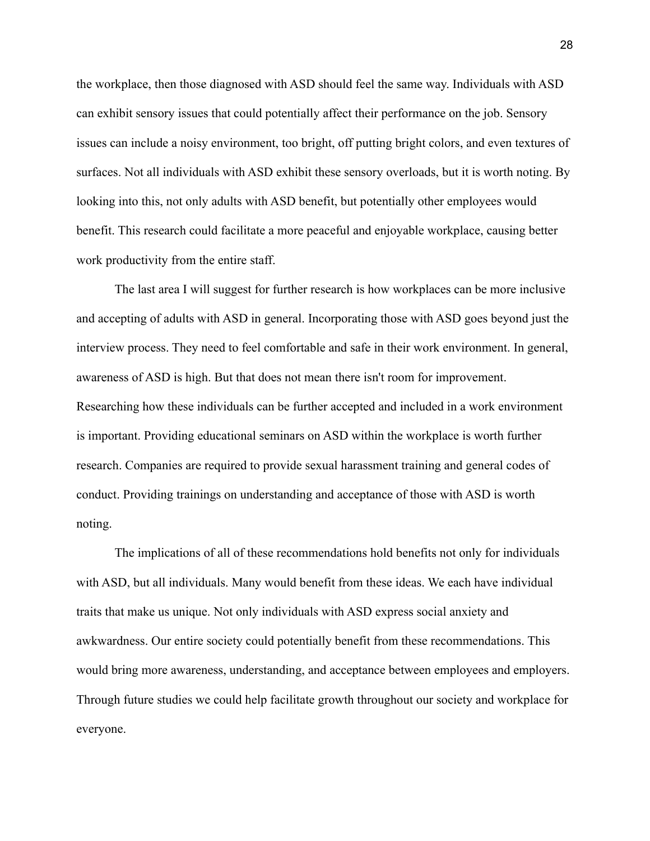the workplace, then those diagnosed with ASD should feel the same way. Individuals with ASD can exhibit sensory issues that could potentially affect their performance on the job. Sensory issues can include a noisy environment, too bright, off putting bright colors, and even textures of surfaces. Not all individuals with ASD exhibit these sensory overloads, but it is worth noting. By looking into this, not only adults with ASD benefit, but potentially other employees would benefit. This research could facilitate a more peaceful and enjoyable workplace, causing better work productivity from the entire staff.

The last area I will suggest for further research is how workplaces can be more inclusive and accepting of adults with ASD in general. Incorporating those with ASD goes beyond just the interview process. They need to feel comfortable and safe in their work environment. In general, awareness of ASD is high. But that does not mean there isn't room for improvement. Researching how these individuals can be further accepted and included in a work environment is important. Providing educational seminars on ASD within the workplace is worth further research. Companies are required to provide sexual harassment training and general codes of conduct. Providing trainings on understanding and acceptance of those with ASD is worth noting.

The implications of all of these recommendations hold benefits not only for individuals with ASD, but all individuals. Many would benefit from these ideas. We each have individual traits that make us unique. Not only individuals with ASD express social anxiety and awkwardness. Our entire society could potentially benefit from these recommendations. This would bring more awareness, understanding, and acceptance between employees and employers. Through future studies we could help facilitate growth throughout our society and workplace for everyone.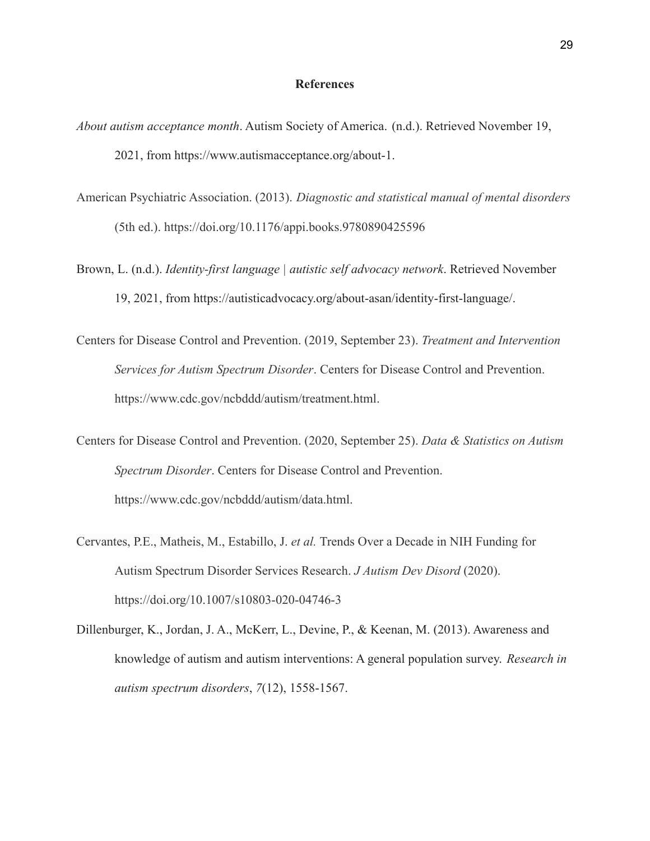#### **References**

- *About autism acceptance month*. Autism Society of America. (n.d.). Retrieved November 19, 2021, from https://www.autismacceptance.org/about-1.
- American Psychiatric Association. (2013). *Diagnostic and statistical manual of mental disorders* (5th ed.). https://doi.org/10.1176/appi.books.9780890425596
- Brown, L. (n.d.). *Identity-first language | autistic self advocacy network*. Retrieved November 19, 2021, from https://autisticadvocacy.org/about-asan/identity-first-language/.
- Centers for Disease Control and Prevention. (2019, September 23). *Treatment and Intervention Services for Autism Spectrum Disorder*. Centers for Disease Control and Prevention. https://www.cdc.gov/ncbddd/autism/treatment.html.
- Centers for Disease Control and Prevention. (2020, September 25). *Data & Statistics on Autism Spectrum Disorder*. Centers for Disease Control and Prevention. https://www.cdc.gov/ncbddd/autism/data.html.
- Cervantes, P.E., Matheis, M., Estabillo, J. *et al.* Trends Over a Decade in NIH Funding for Autism Spectrum Disorder Services Research. *J Autism Dev Disord* (2020). https://doi.org/10.1007/s10803-020-04746-3
- Dillenburger, K., Jordan, J. A., McKerr, L., Devine, P., & Keenan, M. (2013). Awareness and knowledge of autism and autism interventions: A general population survey. *Research in autism spectrum disorders*, *7*(12), 1558-1567.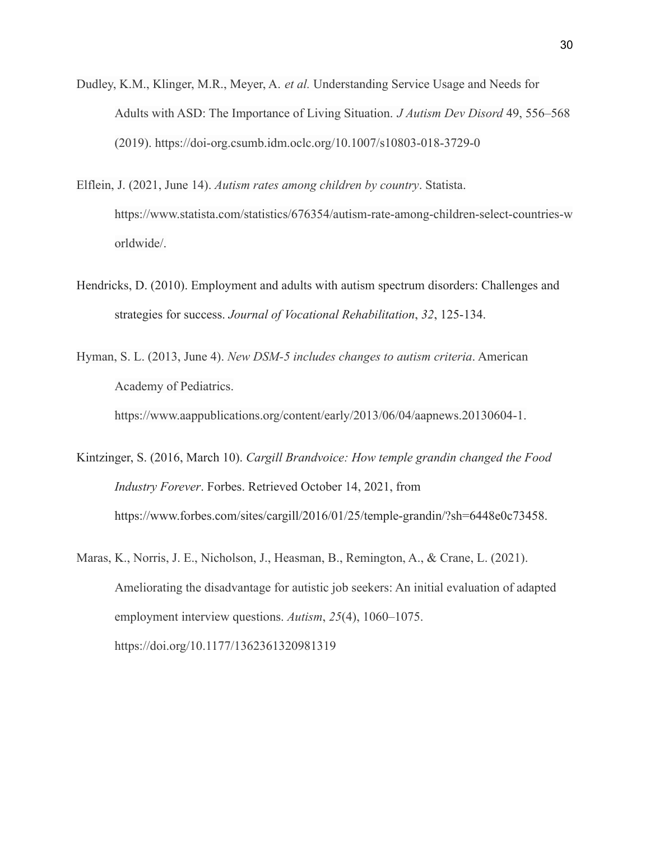- Dudley, K.M., Klinger, M.R., Meyer, A. *et al.* Understanding Service Usage and Needs for Adults with ASD: The Importance of Living Situation. *J Autism Dev Disord* 49, 556–568 (2019). https://doi-org.csumb.idm.oclc.org/10.1007/s10803-018-3729-0
- Elflein, J. (2021, June 14). *Autism rates among children by country*. Statista. https://www.statista.com/statistics/676354/autism-rate-among-children-select-countries-w orldwide/.
- Hendricks, D. (2010). Employment and adults with autism spectrum disorders: Challenges and strategies for success. *Journal of Vocational Rehabilitation*, *32*, 125-134.
- Hyman, S. L. (2013, June 4). *New DSM-5 includes changes to autism criteria*. American Academy of Pediatrics. https://www.aappublications.org/content/early/2013/06/04/aapnews.20130604-1.
- Kintzinger, S. (2016, March 10). *Cargill Brandvoice: How temple grandin changed the Food Industry Forever*. Forbes. Retrieved October 14, 2021, from https://www.forbes.com/sites/cargill/2016/01/25/temple-grandin/?sh=6448e0c73458.
- Maras, K., Norris, J. E., Nicholson, J., Heasman, B., Remington, A., & Crane, L. (2021). Ameliorating the disadvantage for autistic job seekers: An initial evaluation of adapted employment interview questions. *Autism*, *25*(4), 1060–1075. https://doi.org/10.1177/1362361320981319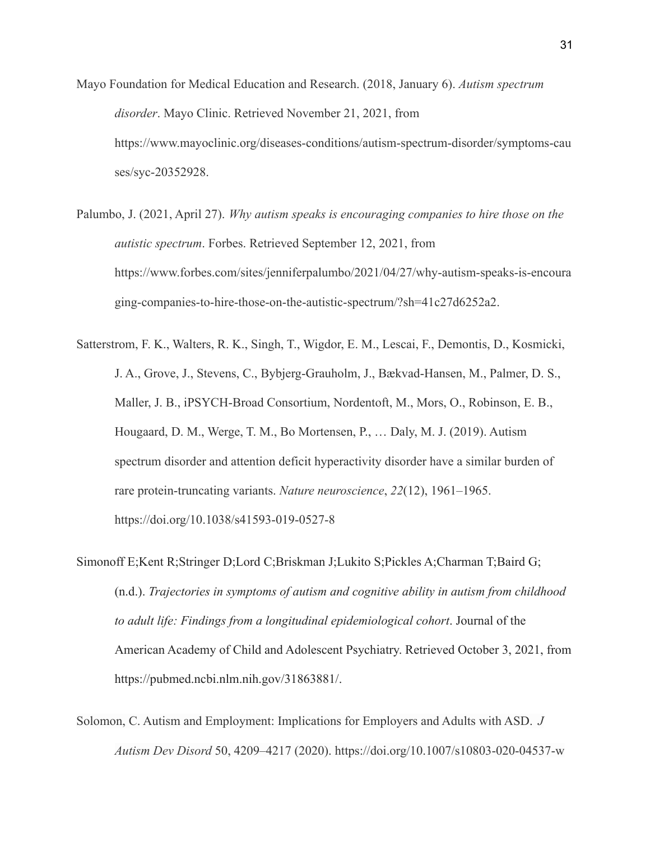- Mayo Foundation for Medical Education and Research. (2018, January 6). *Autism spectrum disorder*. Mayo Clinic. Retrieved November 21, 2021, from https://www.mayoclinic.org/diseases-conditions/autism-spectrum-disorder/symptoms-cau ses/syc-20352928.
- Palumbo, J. (2021, April 27). *Why autism speaks is encouraging companies to hire those on the autistic spectrum*. Forbes. Retrieved September 12, 2021, from https://www.forbes.com/sites/jenniferpalumbo/2021/04/27/why-autism-speaks-is-encoura ging-companies-to-hire-those-on-the-autistic-spectrum/?sh=41c27d6252a2.
- Satterstrom, F. K., Walters, R. K., Singh, T., Wigdor, E. M., Lescai, F., Demontis, D., Kosmicki, J. A., Grove, J., Stevens, C., Bybjerg-Grauholm, J., Bækvad-Hansen, M., Palmer, D. S., Maller, J. B., iPSYCH-Broad Consortium, Nordentoft, M., Mors, O., Robinson, E. B., Hougaard, D. M., Werge, T. M., Bo Mortensen, P., … Daly, M. J. (2019). Autism spectrum disorder and attention deficit hyperactivity disorder have a similar burden of rare protein-truncating variants. *Nature neuroscience*, *22*(12), 1961–1965. https://doi.org/10.1038/s41593-019-0527-8
- Simonoff E;Kent R;Stringer D;Lord C;Briskman J;Lukito S;Pickles A;Charman T;Baird G; (n.d.). *Trajectories in symptoms of autism and cognitive ability in autism from childhood to adult life: Findings from a longitudinal epidemiological cohort*. Journal of the American Academy of Child and Adolescent Psychiatry. Retrieved October 3, 2021, from https://pubmed.ncbi.nlm.nih.gov/31863881/.
- Solomon, C. Autism and Employment: Implications for Employers and Adults with ASD. *J Autism Dev Disord* 50, 4209–4217 (2020). https://doi.org/10.1007/s10803-020-04537-w